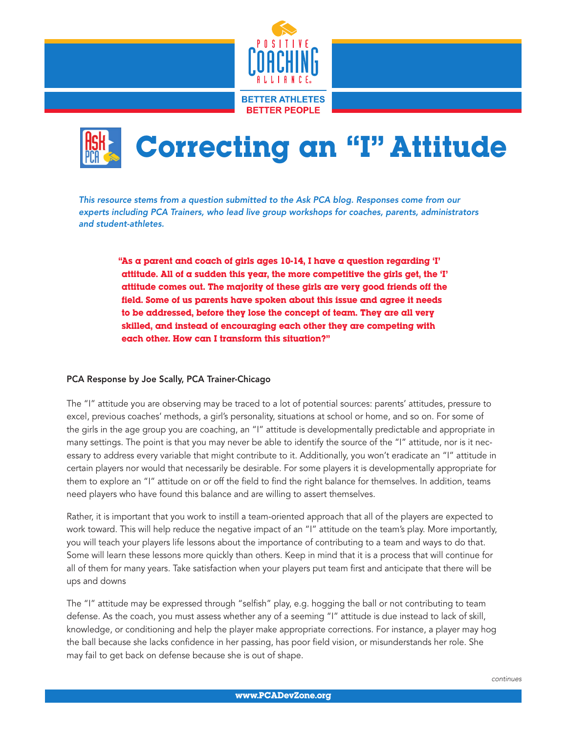



*This resource stems from a question submitted to the Ask PCA blog. Responses come from our experts including PCA Trainers, who lead live group workshops for coaches, parents, administrators and student-athletes.*

"As a parent and coach of girls ages  $10-14$ , I have a question regarding 'I' attitude. All of  $\alpha$  sudden this year, the more competitive the girls get, the 'I' attitude comes out. The majority of these girls are very good friends off the field. Some of us parents have spoken about this issue and agree it needs to be addressed, before they lose the concept of team. They are all very skilled, and instead of encouraging each other they are competing with each other. How can I transform this situation?"

## PCA Response by Joe Scally, PCA Trainer-Chicago

The "I" attitude you are observing may be traced to a lot of potential sources: parents' attitudes, pressure to excel, previous coaches' methods, a girl's personality, situations at school or home, and so on. For some of the girls in the age group you are coaching, an "I" attitude is developmentally predictable and appropriate in many settings. The point is that you may never be able to identify the source of the "I" attitude, nor is it necessary to address every variable that might contribute to it. Additionally, you won't eradicate an "I" attitude in certain players nor would that necessarily be desirable. For some players it is developmentally appropriate for them to explore an "I" attitude on or off the field to find the right balance for themselves. In addition, teams need players who have found this balance and are willing to assert themselves.

Rather, it is important that you work to instill a team-oriented approach that all of the players are expected to work toward. This will help reduce the negative impact of an "I" attitude on the team's play. More importantly, you will teach your players life lessons about the importance of contributing to a team and ways to do that. Some will learn these lessons more quickly than others. Keep in mind that it is a process that will continue for all of them for many years. Take satisfaction when your players put team first and anticipate that there will be ups and downs

The "I" attitude may be expressed through "selfish" play, e.g. hogging the ball or not contributing to team defense. As the coach, you must assess whether any of a seeming "I" attitude is due instead to lack of skill, knowledge, or conditioning and help the player make appropriate corrections. For instance, a player may hog the ball because she lacks confidence in her passing, has poor field vision, or misunderstands her role. She may fail to get back on defense because she is out of shape.